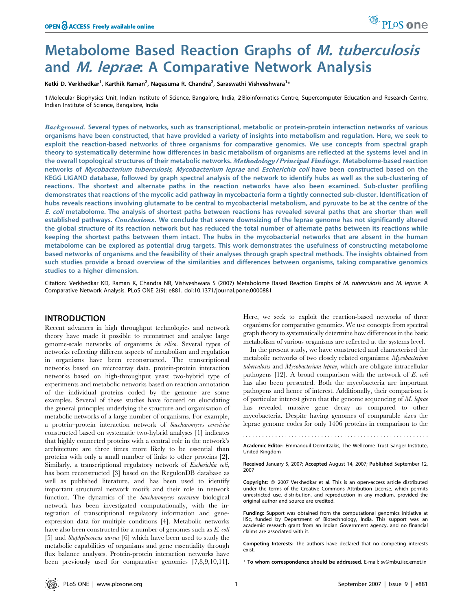# Metabolome Based Reaction Graphs of M. tuberculosis and M. leprae: A Comparative Network Analysis

Ketki D. Verkhedkar<sup>1</sup>, Karthik Raman<sup>2</sup>, Nagasuma R. Chandra<sup>2</sup>, Saraswathi Vishveshwara<sup>1</sup>\*

1 Molecular Biophysics Unit, Indian Institute of Science, Bangalore, India, 2 Bioinformatics Centre, Supercomputer Education and Research Centre, Indian Institute of Science, Bangalore, India

Background. Several types of networks, such as transcriptional, metabolic or protein-protein interaction networks of various organisms have been constructed, that have provided a variety of insights into metabolism and regulation. Here, we seek to exploit the reaction-based networks of three organisms for comparative genomics. We use concepts from spectral graph theory to systematically determine how differences in basic metabolism of organisms are reflected at the systems level and in the overall topological structures of their metabolic networks. Methodology/Principal Findings. Metabolome-based reaction networks of Mycobacterium tuberculosis, Mycobacterium leprae and Escherichia coli have been constructed based on the KEGG LIGAND database, followed by graph spectral analysis of the network to identify hubs as well as the sub-clustering of reactions. The shortest and alternate paths in the reaction networks have also been examined. Sub-cluster profiling demonstrates that reactions of the mycolic acid pathway in mycobacteria form a tightly connected sub-cluster. Identification of hubs reveals reactions involving glutamate to be central to mycobacterial metabolism, and pyruvate to be at the centre of the E. coli metabolome. The analysis of shortest paths between reactions has revealed several paths that are shorter than well established pathways. Conclusions. We conclude that severe downsizing of the leprae genome has not significantly altered the global structure of its reaction network but has reduced the total number of alternate paths between its reactions while keeping the shortest paths between them intact. The hubs in the mycobacterial networks that are absent in the human metabolome can be explored as potential drug targets. This work demonstrates the usefulness of constructing metabolome based networks of organisms and the feasibility of their analyses through graph spectral methods. The insights obtained from such studies provide a broad overview of the similarities and differences between organisms, taking comparative genomics studies to a higher dimension.

Citation: Verkhedkar KD, Raman K, Chandra NR, Vishveshwara S (2007) Metabolome Based Reaction Graphs of M. tuberculosis and M. leprae: A Comparative Network Analysis. PLoS ONE 2(9): e881. doi:10.1371/journal.pone.0000881

## INTRODUCTION

Recent advances in high throughput technologies and network theory have made it possible to reconstruct and analyse large genome-scale networks of organisms in silico. Several types of networks reflecting different aspects of metabolism and regulation in organisms have been reconstructed. The transcriptional networks based on microarray data, protein-protein interaction networks based on high-throughput yeast two-hybrid type of experiments and metabolic networks based on reaction annotation of the individual proteins coded by the genome are some examples. Several of these studies have focused on elucidating the general principles underlying the structure and organisation of metabolic networks of a large number of organisms. For example, a protein–protein interaction network of Saccharomyces cerevisiae constructed based on systematic two-hybrid analyses [1] indicates that highly connected proteins with a central role in the network's architecture are three times more likely to be essential than proteins with only a small number of links to other proteins [2]. Similarly, a transcriptional regulatory network of *Escherichia coli*, has been reconstructed [3] based on the RegulonDB database as well as published literature, and has been used to identify important structural network motifs and their role in network function. The dynamics of the Saccharomyces cerevisiae biological network has been investigated computationally, with the integration of transcriptional regulatory information and geneexpression data for multiple conditions [4]. Metabolic networks have also been constructed for a number of genomes such as E. coli [5] and *Staphylococcus aureus* [6] which have been used to study the metabolic capabilities of organisms and gene essentiality through flux balance analyses. Protein-protein interaction networks have been previously used for comparative genomics [7,8,9,10,11].

Here, we seek to exploit the reaction-based networks of three organisms for comparative genomics. We use concepts from spectral graph theory to systematically determine how differences in the basic metabolism of various organisms are reflected at the systems level.

PLoS one

In the present study, we have constructed and characterised the metabolic networks of two closely related organisms: Mycobacterium tuberculosis and Mycobacterium leprae, which are obligate intracellular pathogens [12]. A broad comparison with the network of E. coli has also been presented. Both the mycobacteria are important pathogens and hence of interest. Additionally, their comparison is of particular interest given that the genome sequencing of  $M$ . leprae has revealed massive gene decay as compared to other mycobacteria. Despite having genomes of comparable sizes the leprae genome codes for only 1406 proteins in comparison to the

Academic Editor: Emmanouil Dermitzakis, The Wellcome Trust Sanger Institute, United Kingdom

Received January 5, 2007; Accepted August 14, 2007; Published September 12, 2007

Copyright: @ 2007 Verkhedkar et al. This is an open-access article distributed under the terms of the Creative Commons Attribution License, which permits unrestricted use, distribution, and reproduction in any medium, provided the original author and source are credited.

Funding: Support was obtained from the computational genomics initiative at IISc, funded by Department of Biotechnology, India. This support was an academic research grant from an Indian Government agency, and no financial claims are associated with it.

Competing Interests: The authors have declared that no competing interests exist.

\* To whom correspondence should be addressed. E-mail: sv@mbu.iisc.ernet.in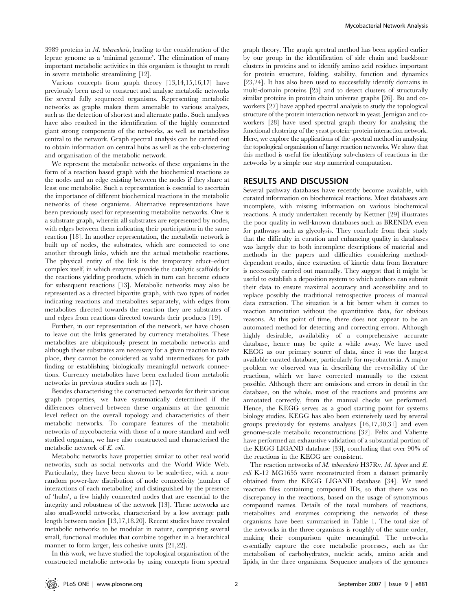3989 proteins in M. tuberculosis, leading to the consideration of the leprae genome as a 'minimal genome'. The elimination of many important metabolic activities in this organism is thought to result in severe metabolic streamlining [12].

Various concepts from graph theory [13,14,15,16,17] have previously been used to construct and analyse metabolic networks for several fully sequenced organisms. Representing metabolic networks as graphs makes them amenable to various analyses, such as the detection of shortest and alternate paths. Such analyses have also resulted in the identification of the highly connected giant strong components of the networks, as well as metabolites central to the network. Graph spectral analysis can be carried out to obtain information on central hubs as well as the sub-clustering and organisation of the metabolic network.

We represent the metabolic networks of these organisms in the form of a reaction based graph with the biochemical reactions as the nodes and an edge existing between the nodes if they share at least one metabolite. Such a representation is essential to ascertain the importance of different biochemical reactions in the metabolic networks of these organisms. Alternative representations have been previously used for representing metabolite networks. One is a substrate graph, wherein all substrates are represented by nodes, with edges between them indicating their participation in the same reaction [18]. In another representation, the metabolic network is built up of nodes, the substrates, which are connected to one another through links, which are the actual metabolic reactions. The physical entity of the link is the temporary educt–educt complex itself, in which enzymes provide the catalytic scaffolds for the reactions yielding products, which in turn can become educts for subsequent reactions [13]. Metabolic networks may also be represented as a directed bipartite graph, with two types of nodes indicating reactions and metabolites separately, with edges from metabolites directed towards the reaction they are substrates of and edges from reactions directed towards their products [19].

Further, in our representation of the network, we have chosen to leave out the links generated by currency metabolites. These metabolites are ubiquitously present in metabolic networks and although these substrates are necessary for a given reaction to take place, they cannot be considered as valid intermediates for path finding or establishing biologically meaningful network connections. Currency metabolites have been excluded from metabolic networks in previous studies such as [17].

Besides characterising the constructed networks for their various graph properties, we have systematically determined if the differences observed between these organisms at the genomic level reflect on the overall topology and characteristics of their metabolic networks. To compare features of the metabolic networks of mycobacteria with those of a more standard and well studied organism, we have also constructed and characterised the metabolic network of E. coli.

Metabolic networks have properties similar to other real world networks, such as social networks and the World Wide Web. Particularly, they have been shown to be scale-free, with a nonrandom power-law distribution of node connectivity (number of interactions of each metabolite) and distinguished by the presence of 'hubs', a few highly connected nodes that are essential to the integrity and robustness of the network [13]. These networks are also small-world networks, characterised by a low average path length between nodes [13,17,18,20]. Recent studies have revealed metabolic networks to be modular in nature, comprising several small, functional modules that combine together in a hierarchical manner to form larger, less cohesive units [21,22].

In this work, we have studied the topological organisation of the constructed metabolic networks by using concepts from spectral graph theory. The graph spectral method has been applied earlier by our group in the identification of side chain and backbone clusters in proteins and to identify amino acid residues important for protein structure, folding, stability, function and dynamics [23,24]. It has also been used to successfully identify domains in multi-domain proteins [25] and to detect clusters of structurally similar proteins in protein chain universe graphs [26]. Bu and coworkers [27] have applied spectral analysis to study the topological structure of the protein interaction network in yeast. Jernigan and coworkers [28] have used spectral graph theory for analysing the functional clustering of the yeast protein–protein interaction network. Here, we explore the applications of the spectral method in analysing the topological organisation of large reaction networks. We show that this method is useful for identifying sub-clusters of reactions in the networks by a simple one step numerical computation.

## RESULTS AND DISCUSSION

Several pathway databases have recently become available, with curated information on biochemical reactions. Most databases are incomplete, with missing information on various biochemical reactions. A study undertaken recently by Kettner [29] illustrates the poor quality in well-known databases such as BRENDA even for pathways such as glycolysis. They conclude from their study that the difficulty in curation and enhancing quality in databases was largely due to both incomplete descriptions of material and methods in the papers and difficulties considering methoddependent results, since extraction of kinetic data from literature is necessarily carried out manually. They suggest that it might be useful to establish a deposition system to which authors can submit their data to ensure maximal accuracy and accessibility and to replace possibly the traditional retrospective process of manual data extraction. The situation is a bit better when it comes to reaction annotation without the quantitative data, for obvious reasons. At this point of time, there does not appear to be an automated method for detecting and correcting errors. Although highly desirable, availability of a comprehensive accurate database, hence may be quite a while away. We have used KEGG as our primary source of data, since it was the largest available curated database, particularly for mycobacteria. A major problem we observed was in describing the reversibility of the reactions, which we have corrected manually to the extent possible. Although there are omissions and errors in detail in the database, on the whole, most of the reactions and proteins are annotated correctly, from the manual checks we performed. Hence, the KEGG serves as a good starting point for systems biology studies. KEGG has also been extensively used by several groups previously for systems analyses [16,17,30,31] and even genome-scale metabolic reconstructions [32]. Felix and Valiente have performed an exhaustive validation of a substantial portion of the KEGG LIGAND database [33], concluding that over 90% of the reactions in the KEGG are consistent.

The reaction networks of M. tuberculosis H37Rv, M. leprae and E. coli K-12 MG1655 were reconstructed from a dataset primarily obtained from the KEGG LIGAND database [34]. We used reaction files containing compound IDs, so that there was no discrepancy in the reactions, based on the usage of synonymous compound names. Details of the total numbers of reactions, metabolites and enzymes comprising the networks of these organisms have been summarised in Table 1. The total size of the networks in the three organisms is roughly of the same order, making their comparison quite meaningful. The networks essentially capture the core metabolic processes, such as the metabolism of carbohydrates, nucleic acids, amino acids and lipids, in the three organisms. Sequence analyses of the genomes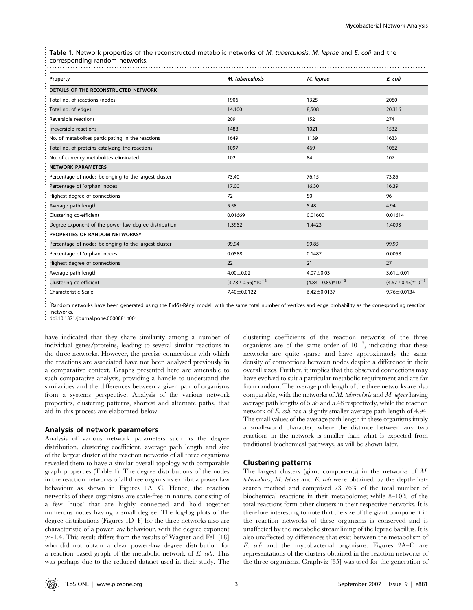| Property                                             | M. tuberculosis             | M. leprae                  | E. coli                     |
|------------------------------------------------------|-----------------------------|----------------------------|-----------------------------|
| DETAILS OF THE RECONSTRUCTED NETWORK                 |                             |                            |                             |
| Total no. of reactions (nodes)                       | 1906                        | 1325                       | 2080                        |
| Total no. of edges                                   | 14,100                      | 8,508                      | 20,316                      |
| Reversible reactions                                 | 209                         | 152                        | 274                         |
| Irreversible reactions                               | 1488                        | 1021                       | 1532                        |
| No. of metabolites participating in the reactions    | 1649                        | 1139                       | 1633                        |
| Total no. of proteins catalyzing the reactions       | 1097                        | 469                        | 1062                        |
| No. of currency metabolites eliminated               | 102                         | 84                         | 107                         |
| <b>NETWORK PARAMETERS</b>                            |                             |                            |                             |
| Percentage of nodes belonging to the largest cluster | 73.40                       | 76.15                      | 73.85                       |
| Percentage of 'orphan' nodes                         | 17.00                       | 16.30                      | 16.39                       |
| Highest degree of connections                        | 72                          | 50                         | 96                          |
| Average path length                                  | 5.58                        | 5.48                       | 4.94                        |
| Clustering co-efficient                              | 0.01669                     | 0.01600                    | 0.01614                     |
| Degree exponent of the power law degree distribution | 1.3952                      | 1.4423                     | 1.4093                      |
| PROPERTIES OF RANDOM NETWORKS*                       |                             |                            |                             |
| Percentage of nodes belonging to the largest cluster | 99.94                       | 99.85                      | 99.99                       |
| Percentage of 'orphan' nodes                         | 0.0588                      | 0.1487                     | 0.0058                      |
| Highest degree of connections                        | 22                          | 21                         | 27                          |
| Average path length                                  | $4.00 \pm 0.02$             | $4.07 \pm 0.03$            | $3.61 \pm 0.01$             |
| Clustering co-efficient                              | $(3.78 \pm 0.56)^* 10^{-3}$ | $(4.84 \pm 0.89)^*10^{-3}$ | $(4.67 \pm 0.45)^* 10^{-3}$ |
| Characteristic Scale                                 | $7.40 \pm 0.0122$           | $6.42 \pm 0.0137$          | $9.76 \pm 0.0134$           |

doi:10.1371/journal.pone.0000881.t001

have indicated that they share similarity among a number of individual genes/proteins, leading to several similar reactions in the three networks. However, the precise connections with which the reactions are associated have not been analysed previously in a comparative context. Graphs presented here are amenable to such comparative analysis, providing a handle to understand the similarities and the differences between a given pair of organisms from a systems perspective. Analysis of the various network properties, clustering patterns, shortest and alternate paths, that aid in this process are elaborated below.

#### Analysis of network parameters

Analysis of various network parameters such as the degree distribution, clustering coefficient, average path length and size of the largest cluster of the reaction networks of all three organisms revealed them to have a similar overall topology with comparable graph properties (Table 1). The degree distributions of the nodes in the reaction networks of all three organisms exhibit a power law behaviour as shown in Figures 1A-C. Hence, the reaction networks of these organisms are scale-free in nature, consisting of a few 'hubs' that are highly connected and hold together numerous nodes having a small degree. The log-log plots of the degree distributions (Figures 1D–F) for the three networks also are characteristic of a power law behaviour, with the degree exponent  $\gamma$  - 1.4. This result differs from the results of Wagner and Fell [18] who did not obtain a clear power-law degree distribution for a reaction based graph of the metabolic network of E. coli. This was perhaps due to the reduced dataset used in their study. The

clustering coefficients of the reaction networks of the three organisms are of the same order of  $10^{-2}$ , indicating that these networks are quite sparse and have approximately the same density of connections between nodes despite a difference in their overall sizes. Further, it implies that the observed connections may have evolved to suit a particular metabolic requirement and are far from random. The average path length of the three networks are also comparable, with the networks of  $M$ . tuberculosis and  $M$ . leprae having average path lengths of 5.58 and 5.48 respectively, while the reaction network of E. coli has a slightly smaller average path length of 4.94. The small values of the average path length in these organisms imply a small-world character, where the distance between any two reactions in the network is smaller than what is expected from traditional biochemical pathways, as will be shown later.

## Clustering patterns

The largest clusters (giant components) in the networks of M. tuberculosis, M. leprae and E. coli were obtained by the depth-firstsearch method and comprised 73–76% of the total number of biochemical reactions in their metabolome; while 8–10% of the total reactions form other clusters in their respective networks. It is therefore interesting to note that the size of the giant component in the reaction networks of these organisms is conserved and is unaffected by the metabolic streamlining of the leprae bacillus. It is also unaffected by differences that exist between the metabolism of E. coli and the mycobacterial organisms. Figures 2A–C are representations of the clusters obtained in the reaction networks of the three organisms. Graphviz [35] was used for the generation of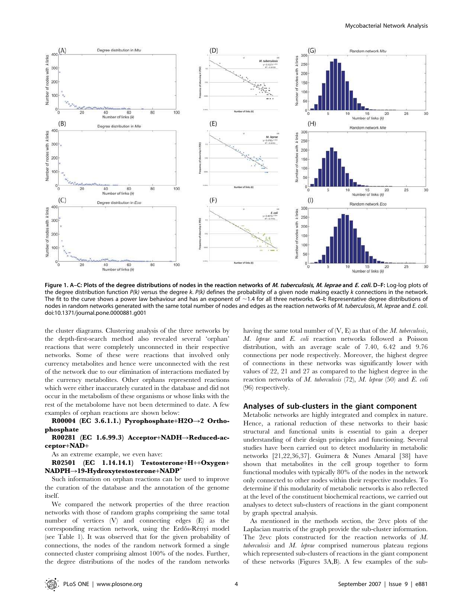

Figure 1. A–C: Plots of the degree distributions of nodes in the reaction networks of M. tuberculosis, M. leprae and E. coli. D–F: Log-log plots of the degree distribution function P(k) versus the degree k. P(k) defines the probability of a given node making exactly k connections in the network. The fit to the curve shows a power law behaviour and has an exponent of  $\sim$ 1.4 for all three networks. G-I: Representative degree distributions of nodes in random networks generated with the same total number of nodes and edges as the reaction networks of M. tuberculosis, M. leprae and E. coli. doi:10.1371/journal.pone.0000881.g001

the cluster diagrams. Clustering analysis of the three networks by the depth-first-search method also revealed several 'orphan' reactions that were completely unconnected in their respective networks. Some of these were reactions that involved only currency metabolites and hence were unconnected with the rest of the network due to our elimination of interactions mediated by the currency metabolites. Other orphans represented reactions which were either inaccurately curated in the database and did not occur in the metabolism of these organisms or whose links with the rest of the metabolome have not been determined to date. A few examples of orphan reactions are shown below:

R00004 (EC 3.6.1.1.) Pyrophosphate+H2O $\rightarrow$ 2 Orthophosphate

R00281 (EC 1.6.99.3) Acceptor+NADH $\rightarrow$ Reduced-acceptor+NAD+

As an extreme example, we even have:

R02501 (EC 1.14.14.1) Testosterone+H++Oxygen+  $NADPH\rightarrow19-Hydroxytestosterone+NADP^+$ 

Such information on orphan reactions can be used to improve the curation of the database and the annotation of the genome itself.

We compared the network properties of the three reaction networks with those of random graphs comprising the same total number of vertices (V) and connecting edges (E) as the corresponding reaction network, using the Erdős-Rényi model (see Table 1). It was observed that for the given probability of connections, the nodes of the random network formed a single connected cluster comprising almost 100% of the nodes. Further, the degree distributions of the nodes of the random networks having the same total number of  $(V, E)$  as that of the M. tuberculosis, M. leprae and E. coli reaction networks followed a Poisson distribution, with an average scale of 7.40, 6.42 and 9.76 connections per node respectively. Moreover, the highest degree of connections in these networks was significantly lower with values of 22, 21 and 27 as compared to the highest degree in the reaction networks of  $M$ . tuberculosis (72),  $M$ . leprae (50) and  $E$ . coli (96) respectively.

## Analyses of sub-clusters in the giant component

Metabolic networks are highly integrated and complex in nature. Hence, a rational reduction of these networks to their basic structural and functional units is essential to gain a deeper understanding of their design principles and functioning. Several studies have been carried out to detect modularity in metabolic networks [21,22,36,37]. Guimera & Nunes Amaral [38] have shown that metabolites in the cell group together to form functional modules with typically 80% of the nodes in the network only connected to other nodes within their respective modules. To determine if this modularity of metabolic networks is also reflected at the level of the constituent biochemical reactions, we carried out analyses to detect sub-clusters of reactions in the giant component by graph spectral analysis.

As mentioned in the methods section, the 2evc plots of the Laplacian matrix of the graph provide the sub-cluster information. The 2evc plots constructed for the reaction networks of M. tuberculosis and M. leprae comprised numerous plateau regions which represented sub-clusters of reactions in the giant component of these networks (Figures 3A,B). A few examples of the sub-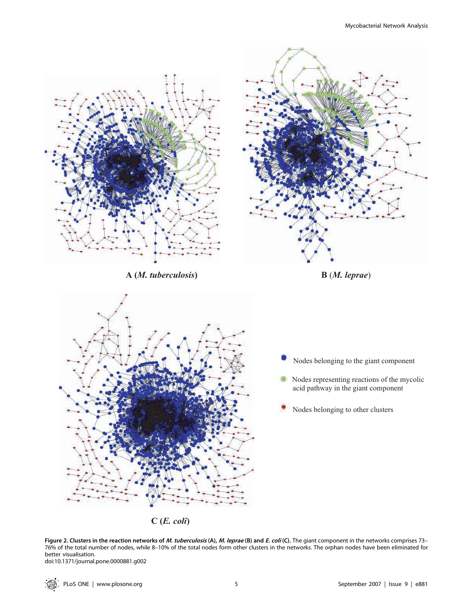

**C (***E. coli***)**

Figure 2. Clusters in the reaction networks of *M. tuberculosis* (A), *M. leprae* (B) and *E. coli* (C). The giant component in the networks comprises 73– 76% of the total number of nodes, while 8–10% of the total nodes form other clusters in the networks. The orphan nodes have been eliminated for better visualisation.

doi:10.1371/journal.pone.0000881.g002

∵©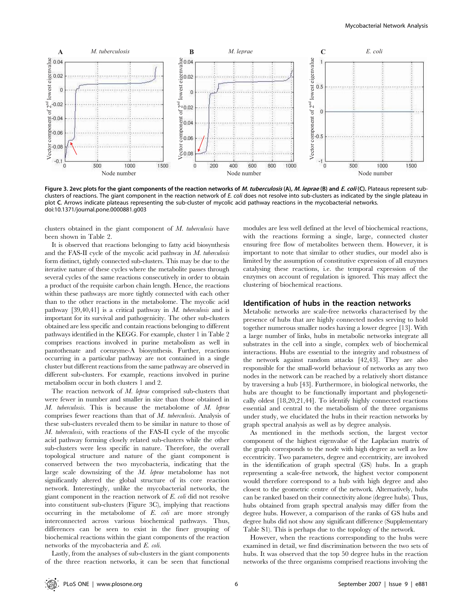

Figure 3. 2evc plots for the giant components of the reaction networks of M. tuberculosis (A), M. leprae (B) and E. coli (C). Plateaus represent subclusters of reactions. The giant component in the reaction network of E. coli does not resolve into sub-clusters as indicated by the single plateau in plot C. Arrows indicate plateaus representing the sub-cluster of mycolic acid pathway reactions in the mycobacterial networks. doi:10.1371/journal.pone.0000881.g003

clusters obtained in the giant component of M. tuberculosis have been shown in Table 2.

It is observed that reactions belonging to fatty acid biosynthesis and the FAS-II cycle of the mycolic acid pathway in M. tuberculosis form distinct, tightly connected sub-clusters. This may be due to the iterative nature of these cycles where the metabolite passes through several cycles of the same reactions consecutively in order to obtain a product of the requisite carbon chain length. Hence, the reactions within these pathways are more tightly connected with each other than to the other reactions in the metabolome. The mycolic acid pathway  $[39,40,41]$  is a critical pathway in M. tuberculosis and is important for its survival and pathogenicity. The other sub-clusters obtained are less specific and contain reactions belonging to different pathways identified in the KEGG. For example, cluster 1 in Table 2 comprises reactions involved in purine metabolism as well in pantothenate and coenzyme-A biosynthesis. Further, reactions occurring in a particular pathway are not contained in a single cluster but different reactions from the same pathway are observed in different sub-clusters. For example, reactions involved in purine metabolism occur in both clusters 1 and 2.

The reaction network of  $M$ . leprae comprised sub-clusters that were fewer in number and smaller in size than those obtained in M. tuberculosis. This is because the metabolome of M. leprae comprises fewer reactions than that of M. tuberculosis. Analysis of these sub-clusters revealed them to be similar in nature to those of M. tuberculosis, with reactions of the FAS-II cycle of the mycolic acid pathway forming closely related sub-clusters while the other sub-clusters were less specific in nature. Therefore, the overall topological structure and nature of the giant component is conserved between the two mycobacteria, indicating that the large scale downsizing of the M. leprae metabolome has not significantly altered the global structure of its core reaction network. Interestingly, unlike the mycobacterial networks, the giant component in the reaction network of E. coli did not resolve into constituent sub-clusters (Figure 3C), implying that reactions occurring in the metabolome of E. coli are more strongly interconnected across various biochemical pathways. Thus, differences can be seen to exist in the finer grouping of biochemical reactions within the giant components of the reaction networks of the mycobacteria and E. coli.

Lastly, from the analyses of sub-clusters in the giant components of the three reaction networks, it can be seen that functional modules are less well defined at the level of biochemical reactions, with the reactions forming a single, large, connected cluster ensuring free flow of metabolites between them. However, it is important to note that similar to other studies, our model also is limited by the assumption of constitutive expression of all enzymes catalysing these reactions, i.e. the temporal expression of the enzymes on account of regulation is ignored. This may affect the clustering of biochemical reactions.

## Identification of hubs in the reaction networks

Metabolic networks are scale-free networks characterised by the presence of hubs that are highly connected nodes serving to hold together numerous smaller nodes having a lower degree [13]. With a large number of links, hubs in metabolic networks integrate all substrates in the cell into a single, complex web of biochemical interactions. Hubs are essential to the integrity and robustness of the network against random attacks [42,43]. They are also responsible for the small-world behaviour of networks as any two nodes in the network can be reached by a relatively short distance by traversing a hub [43]. Furthermore, in biological networks, the hubs are thought to be functionally important and phylogenetically oldest [18,20,21,44]. To identify highly connected reactions essential and central to the metabolism of the three organisms under study, we elucidated the hubs in their reaction networks by graph spectral analysis as well as by degree analysis.

As mentioned in the methods section, the largest vector component of the highest eigenvalue of the Laplacian matrix of the graph corresponds to the node with high degree as well as low eccentricity. Two parameters, degree and eccentricity, are involved in the identification of graph spectral (GS) hubs. In a graph representing a scale-free network, the highest vector component would therefore correspond to a hub with high degree and also closest to the geometric centre of the network. Alternatively, hubs can be ranked based on their connectivity alone (degree hubs). Thus, hubs obtained from graph spectral analysis may differ from the degree hubs. However, a comparison of the ranks of GS hubs and degree hubs did not show any significant difference (Supplementary Table S1). This is perhaps due to the topology of the network.

However, when the reactions corresponding to the hubs were examined in detail, we find discrimination between the two sets of hubs. It was observed that the top 50 degree hubs in the reaction networks of the three organisms comprised reactions involving the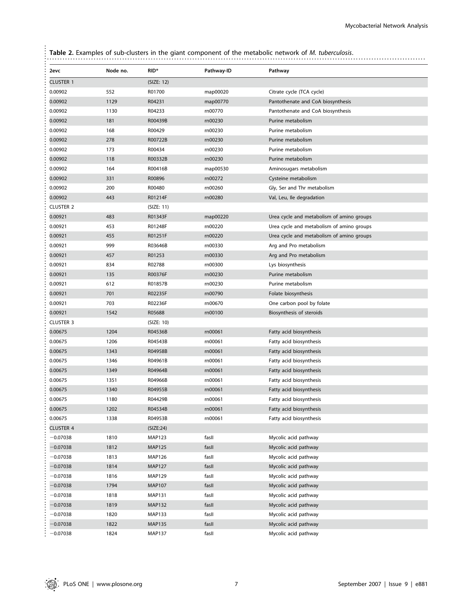| 2evc             | Node no. | RID*          | Pathway-ID | Pathway                                   |
|------------------|----------|---------------|------------|-------------------------------------------|
| <b>CLUSTER 1</b> |          | (SIZE: 12)    |            |                                           |
| 0.00902          | 552      | R01700        | map00020   | Citrate cycle (TCA cycle)                 |
| 0.00902          | 1129     | R04231        | map00770   | Pantothenate and CoA biosynthesis         |
| 0.00902          | 1130     | R04233        | rn00770    | Pantothenate and CoA biosynthesis         |
| 0.00902          | 181      | R00439B       | rn00230    | Purine metabolism                         |
| 0.00902          | 168      | R00429        | rn00230    | Purine metabolism                         |
| 0.00902          | 278      | R00722B       | rn00230    | Purine metabolism                         |
| 0.00902          | 173      | R00434        | rn00230    | Purine metabolism                         |
| 0.00902          | 118      | R00332B       | rn00230    | Purine metabolism                         |
| 0.00902          | 164      | R00416B       | map00530   | Aminosugars metabolism                    |
| 0.00902          | 331      | R00896        | rn00272    | Cysteine metabolism                       |
| 0.00902          | 200      | R00480        | rn00260    | Gly, Ser and Thr metabolism               |
| 0.00902          | 443      | R01214F       | rn00280    | Val, Leu, Ile degradation                 |
| <b>CLUSTER 2</b> |          | (SIZE: 11)    |            |                                           |
| 0.00921          | 483      | R01343F       | map00220   | Urea cycle and metabolism of amino groups |
| 0.00921          | 453      | R01248F       | rn00220    | Urea cycle and metabolism of amino groups |
| 0.00921          | 455      | R01251F       | rn00220    | Urea cycle and metabolism of amino groups |
| 0.00921          | 999      | R03646B       | rn00330    | Arg and Pro metabolism                    |
| 0.00921          | 457      | R01253        | rn00330    | Arg and Pro metabolism                    |
| 0.00921          | 834      | R02788        | rn00300    | Lys biosynthesis                          |
| 0.00921          | 135      | R00376F       | rn00230    | Purine metabolism                         |
| 0.00921          | 612      | R01857B       | rn00230    | Purine metabolism                         |
| 0.00921          | 701      | R02235F       | rn00790    | Folate biosynthesis                       |
| 0.00921          | 703      | R02236F       | rn00670    | One carbon pool by folate                 |
| 0.00921          | 1542     | R05688        | rn00100    | Biosynthesis of steroids                  |
| <b>CLUSTER 3</b> |          | (SIZE: 10)    |            |                                           |
| 0.00675          | 1204     | R04536B       | rn00061    | Fatty acid biosynthesis                   |
| 0.00675          | 1206     | R04543B       | rn00061    | Fatty acid biosynthesis                   |
| 0.00675          | 1343     | R04958B       | rn00061    | Fatty acid biosynthesis                   |
| 0.00675          | 1346     | R04961B       | rn00061    | Fatty acid biosynthesis                   |
| 0.00675          | 1349     | R04964B       | rn00061    | Fatty acid biosynthesis                   |
| 0.00675          | 1351     | R04966B       | rn00061    | Fatty acid biosynthesis                   |
| 0.00675          | 1340     | R04955B       | rn00061    | Fatty acid biosynthesis                   |
| 0.00675          | 1180     | R04429B       | rn00061    | Fatty acid biosynthesis                   |
| 0.00675          | 1202     | R04534B       | rn00061    | Fatty acid biosynthesis                   |
| 0.00675          | 1338     | R04953B       | rn00061    | Fatty acid biosynthesis                   |
| <b>CLUSTER 4</b> |          | (SIZE:24)     |            |                                           |
| $-0.07038$       | 1810     | <b>MAP123</b> | fasll      | Mycolic acid pathway                      |
| $-0.07038$       | 1812     | <b>MAP125</b> | fasll      | Mycolic acid pathway                      |
| $-0.07038$       | 1813     | <b>MAP126</b> | fasll      | Mycolic acid pathway                      |
| $-0.07038$       | 1814     | <b>MAP127</b> | fasll      | Mycolic acid pathway                      |
| $-0.07038$       | 1816     | <b>MAP129</b> | fasll      | Mycolic acid pathway                      |
| $-0.07038$       | 1794     | <b>MAP107</b> | fasll      | Mycolic acid pathway                      |
| $-0.07038$       | 1818     | <b>MAP131</b> | fasll      | Mycolic acid pathway                      |
| $-0.07038$       | 1819     | <b>MAP132</b> | fasll      | Mycolic acid pathway                      |
| $-0.07038$       | 1820     | <b>MAP133</b> | fasll      | Mycolic acid pathway                      |
| $-0.07038$       | 1822     | <b>MAP135</b> | fasll      | Mycolic acid pathway                      |
| $-0.07038$       | 1824     | <b>MAP137</b> | fasll      | Mycolic acid pathway                      |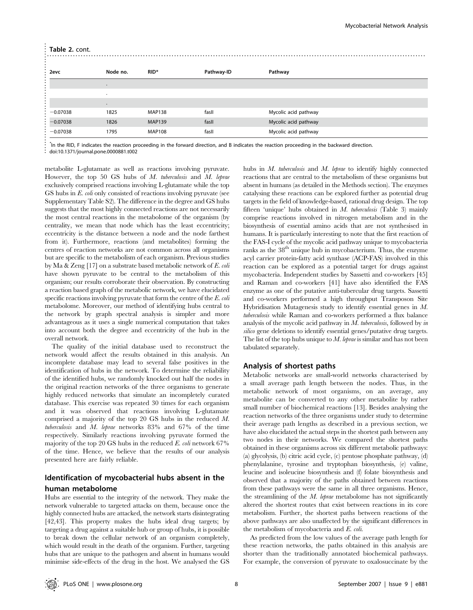#### Table 2. cont.

| Table 2. cont. |                                       |                  |            |                                                                                                                                              |  |
|----------------|---------------------------------------|------------------|------------|----------------------------------------------------------------------------------------------------------------------------------------------|--|
|                |                                       |                  |            |                                                                                                                                              |  |
| 2evc           | Node no.                              | RID <sup>*</sup> | Pathway-ID | Pathway                                                                                                                                      |  |
|                |                                       |                  |            |                                                                                                                                              |  |
|                |                                       |                  |            |                                                                                                                                              |  |
|                |                                       |                  |            |                                                                                                                                              |  |
| $-0.07038$     | 1825                                  | <b>MAP138</b>    | fasll      | Mycolic acid pathway                                                                                                                         |  |
| $-0.07038$     | 1826                                  | <b>MAP139</b>    | fasll      | Mycolic acid pathway                                                                                                                         |  |
| $-0.07038$     | 1795                                  | <b>MAP108</b>    | fasll      | Mycolic acid pathway                                                                                                                         |  |
|                | doi:10.1371/journal.pone 0000881.t002 |                  |            | In the RID, F indicates the reaction proceeding in the forward direction, and B indicates the reaction proceeding in the backward direction. |  |

metabolite L-glutamate as well as reactions involving pyruvate. However, the top 50 GS hubs of M. tuberculosis and M. leprae exclusively comprised reactions involving L-glutamate while the top GS hubs in E. coli only consisted of reactions involving pyruvate (see Supplementary Table S2). The difference in the degree and GS hubs suggests that the most highly connected reactions are not necessarily the most central reactions in the metabolome of the organism (by centrality, we mean that node which has the least eccentricity; eccentricity is the distance between a node and the node farthest from it). Furthermore, reactions (and metabolites) forming the centres of reaction networks are not common across all organisms but are specific to the metabolism of each organism. Previous studies by Ma & Zeng [17] on a substrate based metabolic network of E. coli have shown pyruvate to be central to the metabolism of this organism; our results corroborate their observation. By constructing a reaction based graph of the metabolic network, we have elucidated specific reactions involving pyruvate that form the centre of the E. coli metabolome. Moreover, our method of identifying hubs central to the network by graph spectral analysis is simpler and more advantageous as it uses a single numerical computation that takes into account both the degree and eccentricity of the hub in the overall network.

The quality of the initial database used to reconstruct the network would affect the results obtained in this analysis. An incomplete database may lead to several false positives in the identification of hubs in the network. To determine the reliability of the identified hubs, we randomly knocked out half the nodes in the original reaction networks of the three organisms to generate highly reduced networks that simulate an incompletely curated database. This exercise was repeated 30 times for each organism and it was observed that reactions involving L-glutamate comprised a majority of the top 20 GS hubs in the reduced M. tuberculosis and M. leprae networks 83% and 67% of the time respectively. Similarly reactions involving pyruvate formed the majority of the top 20 GS hubs in the reduced  $E$ , coli network 67% of the time. Hence, we believe that the results of our analysis presented here are fairly reliable.

# Identification of mycobacterial hubs absent in the human metabolome

Hubs are essential to the integrity of the network. They make the network vulnerable to targeted attacks on them, because once the highly connected hubs are attacked, the network starts disintegrating [42,43]. This property makes the hubs ideal drug targets; by targeting a drug against a suitable hub or group of hubs, it is possible to break down the cellular network of an organism completely, which would result in the death of the organism. Further, targeting hubs that are unique to the pathogen and absent in humans would minimise side-effects of the drug in the host. We analysed the GS hubs in M. tuberculosis and M. leprae to identify highly connected reactions that are central to the metabolism of these organisms but absent in humans (as detailed in the Methods section). The enzymes catalysing these reactions can be explored further as potential drug targets in the field of knowledge-based, rational drug design. The top fifteen 'unique' hubs obtained in M. tuberculosis (Table 3) mainly comprise reactions involved in nitrogen metabolism and in the biosynthesis of essential amino acids that are not synthesised in humans. It is particularly interesting to note that the first reaction of the FAS-I cycle of the mycolic acid pathway unique to mycobacteria ranks as the  $38<sup>th</sup>$  unique hub in mycobacterium. Thus, the enzyme acyl carrier protein-fatty acid synthase (ACP-FAS) involved in this reaction can be explored as a potential target for drugs against mycobacteria. Independent studies by Sassetti and co-workers [45] and Raman and co-workers [41] have also identified the FAS enzyme as one of the putative anti-tubercular drug targets. Sassetti and co-workers performed a high throughput Transposon Site Hybridisation Mutagenesis study to identify essential genes in M. tuberculosis while Raman and co-workers performed a flux balance analysis of the mycolic acid pathway in  $M$ . tuberculosis, followed by in silico gene deletions to identify essential genes/putative drug targets. The list of the top hubs unique to  $M$ . *leprae* is similar and has not been tabulated separately.

## Analysis of shortest paths

Metabolic networks are small-world networks characterised by a small average path length between the nodes. Thus, in the metabolic network of most organisms, on an average, any metabolite can be converted to any other metabolite by rather small number of biochemical reactions [13]. Besides analysing the reaction networks of the three organisms under study to determine their average path lengths as described in a previous section, we have also elucidated the actual steps in the shortest path between any two nodes in their networks. We compared the shortest paths obtained in these organisms across six different metabolic pathways: (a) glycolysis, (b) citric acid cycle, (c) pentose phosphate pathway, (d) phenylalanine, tyrosine and tryptophan biosynthesis, (e) valine, leucine and isoleucine biosynthesis and (f) folate biosynthesis and observed that a majority of the paths obtained between reactions from these pathways were the same in all three organisms. Hence, the streamlining of the  $M$ . *leprae* metabolome has not significantly altered the shortest routes that exist between reactions in its core metabolism. Further, the shortest paths between reactions of the above pathways are also unaffected by the significant differences in the metabolism of mycobacteria and E. coli.

As predicted from the low values of the average path length for these reaction networks, the paths obtained in this analysis are shorter than the traditionally annotated biochemical pathways. For example, the conversion of pyruvate to oxalosuccinate by the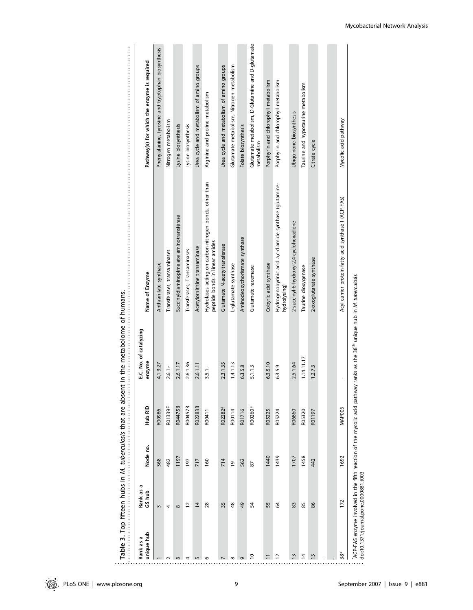| <b>SASS</b>                                    |  |
|------------------------------------------------|--|
|                                                |  |
|                                                |  |
|                                                |  |
|                                                |  |
|                                                |  |
|                                                |  |
|                                                |  |
|                                                |  |
|                                                |  |
|                                                |  |
|                                                |  |
|                                                |  |
|                                                |  |
|                                                |  |
|                                                |  |
|                                                |  |
|                                                |  |
|                                                |  |
|                                                |  |
| ulosis that are absent in the metabolome of hi |  |
|                                                |  |
|                                                |  |
|                                                |  |
|                                                |  |
|                                                |  |
|                                                |  |
|                                                |  |
|                                                |  |
|                                                |  |
|                                                |  |
|                                                |  |
|                                                |  |
|                                                |  |
|                                                |  |
|                                                |  |
| )<br>)<br>)<br>)                               |  |
|                                                |  |
|                                                |  |
|                                                |  |
|                                                |  |
|                                                |  |
|                                                |  |
| $\cdots$ in $\blacksquare$ $\blacksquare$      |  |
|                                                |  |
|                                                |  |
|                                                |  |
|                                                |  |
|                                                |  |
|                                                |  |
|                                                |  |
|                                                |  |
|                                                |  |
|                                                |  |
|                                                |  |
|                                                |  |
|                                                |  |
|                                                |  |
| Table 3. Top fifteer                           |  |
|                                                |  |
|                                                |  |
|                                                |  |

| unique hub     | <b>IQ</b><br>Rank as a<br>GS hub | Node no.  | Hub RID            | E.C. No. of catalyzing<br>enzyme | Name of Enzyme                                                                           | Pathway(s) for which the enzyme is required                     |
|----------------|----------------------------------|-----------|--------------------|----------------------------------|------------------------------------------------------------------------------------------|-----------------------------------------------------------------|
|                |                                  |           |                    |                                  |                                                                                          |                                                                 |
|                | $\sim$                           | 368       | R00986             | 4.1.3.27                         | Anthranilate synthase                                                                    | Phenylalanine, tyrosine and tryptophan biosynthesis             |
|                | 4                                | 482       | R01339F            | $2.6.1 -$                        | Transferases, transaminases                                                              | Nitrogen metabolism                                             |
|                | $\infty$                         | 1197      | R04475B            | 2.6.1.17                         | Succinyldiaminopimelate aminotransferase                                                 | Lysine biosynthesis                                             |
|                | $\overline{1}$                   | 197       | R00457B            | 2.6.1.36                         | Transferases, Transaminases                                                              | Lysine biosynthesis                                             |
|                | $\overline{4}$                   | 717       | R02283B            | 2.6.1.11                         | Acetylornithine transaminase                                                             | Urea cycle and metabolism of amino groups                       |
|                | 28                               | 160       | R00411             | $3.5.1 -$                        | Hydrolases acting on carbon-nitrogen bonds, other than<br>peptide bonds in linear amides | Arginine and proline metabolism                                 |
|                | 35                               | 714       | R02282f            | 2.3.1.35                         | Glutamate N-acetyltransferase                                                            | Urea cycle and metabolism of amino groups                       |
| $^{\circ}$     | 48                               | <b>01</b> | R00114             | 1.4.1.13                         | L-glutamate synthase                                                                     | Glutamate metabolism, Nitrogen metabolism                       |
|                | 49                               | 562       | R01716             | 6.3.5.8                          | Aminodeoxychorismate synthase                                                            | Folate biosynthesis                                             |
| $\overline{c}$ | 54                               | 87        | R00260F            | 5.1.1.3                          | Glutamate racemase                                                                       | Glutamate metabolism, D-Glutamine and D-glutamate<br>metabolism |
|                | 55                               | 1440      | R05225             | 6.3.5.10                         | Cobyric acid synthase                                                                    | Porphyrin and chlorophyll metabolism                            |
| $\mathbf{r}$   | $\overline{6}$                   | 1439      | R05224             | 6.3.5.9                          | Hydrogenobyrinic acid a,c-diamide synthase (glutamine-<br>hydrolysing)                   | Porphyrin and chlorophyll metabolism                            |
| $\bar{c}$      | 83                               | 1707      | R06860             | 2.5.1.64                         | 2-succinyl-6-hydroxy-2,4-cyclohexadiene                                                  | Ubiquinone biosynthesis                                         |
| $\overline{4}$ | 85                               | 1458      | R05320             | 1.14.11.17                       | Taurine dioxygenase                                                                      | Taurine and hypotaurine metabolism                              |
| 5ı             | 86                               | 442       | R01197             | 1.2.7.3                          | 2-oxoglutarate synthase                                                                  | Citrate cycle                                                   |
|                |                                  |           |                    |                                  |                                                                                          |                                                                 |
|                |                                  |           |                    |                                  |                                                                                          |                                                                 |
| $38*$          | 172                              | 1692      | MAP <sub>005</sub> | ı                                | Acyl carrier protein-fatty acid synthase I (ACP-FAS)                                     | Mycolic acid pathway                                            |

doi:10.1371/journal.pone.0000881.t003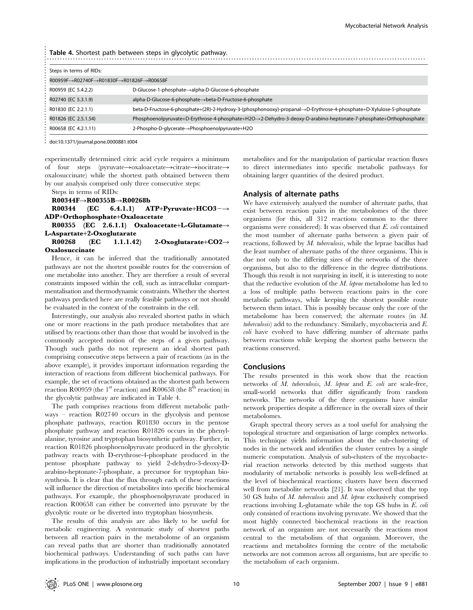|                                                                                           | <b>Table 4.</b> Shortest path between steps in glycolytic pathway.                                                   |
|-------------------------------------------------------------------------------------------|----------------------------------------------------------------------------------------------------------------------|
| Steps in terms of RIDs:                                                                   |                                                                                                                      |
| $ROO959F \rightarrow RO2740F \rightarrow RO1830F \rightarrow RO1826F \rightarrow RO0658F$ |                                                                                                                      |
| R00959 (EC 5.4.2.2)                                                                       | D-Glucose-1-phosphate→alpha-D-Glucose-6-phosphate                                                                    |
| R02740 (EC 5.3.1.9)                                                                       | alpha-D-Glucose-6-phosphate→beta-D-Fructose-6-phosphate                                                              |
| R01830 (EC 2.2.1.1)                                                                       | beta-D-Fructose-6-phosphate+(2R)-2-Hydroxy-3-(phosphonooxy)-propanal->D-Erythrose-4-phosphate+D-Xylulose-5-phosphate |
| R01826 (EC 2.5.1.54)                                                                      | Phosphoenolpyruvate+D-Erythrose-4-phosphate+H2O->2-Dehydro-3-deoxy-D-arabino-heptonate-7-phosphate+Orthophosphate    |
| R00658 (EC 4.2.1.11)                                                                      | 2-Phospho-D-glycerate→Phosphoenolpyruvate+H2O                                                                        |
| doi:10.1371/journal.pone.0000881.t004                                                     |                                                                                                                      |

doi:10.1371/journal.pone.0000881.t004

experimentally determined citric acid cycle requires a minimum of four steps (pyruvate $\rightarrow$ oxaloacetate $\rightarrow$ citrate $\rightarrow$ isocitrate $\rightarrow$ oxalosuccinate) while the shortest path obtained between them by our analysis comprised only three consecutive steps:

Steps in terms of RIDs:

 $R00344F \rightarrow R00355B \rightarrow R00268b$ 

R00344 (EC 6.4.1.1) ATP+Pyruvate+HCO3- $\rightarrow$ ADP+Orthophosphate+Oxaloacetate

R00355 (EC 2.6.1.1) Oxaloacetate+L-Glutamate $\rightarrow$ L-Aspartate+2-Oxoglutarate

## R00268 (EC 1.1.1.42) 2-Oxoglutarate+CO2 $\rightarrow$ Oxalosuccinate

Hence, it can be inferred that the traditionally annotated pathways are not the shortest possible routes for the conversion of one metabolite into another. They are therefore a result of several constraints imposed within the cell, such as intracellular compartmentalisation and thermodynamic constraints. Whether the shortest pathways predicted here are really feasible pathways or not should be evaluated in the context of the constraints in the cell.

Interestingly, our analysis also revealed shortest paths in which one or more reactions in the path produce metabolites that are utilised by reactions other than those that would be involved in the commonly accepted notion of the steps of a given pathway. Though such paths do not represent an ideal shortest path comprising consecutive steps between a pair of reactions (as in the above example), it provides important information regarding the interaction of reactions from different biochemical pathways. For example, the set of reactions obtained as the shortest path between reaction R00959 (the  $1<sup>st</sup>$  reaction) and R00658 (the  $8<sup>th</sup>$  reaction) in the glycolytic pathway are indicated in Table 4.

The path comprises reactions from different metabolic pathways – reaction R02740 occurs in the glycolysis and pentose phosphate pathways, reaction R01830 occurs in the pentose phosphate pathway and reaction R01826 occurs in the phenylalanine, tyrosine and tryptophan biosynthetic pathway. Further, in reaction R01826 phosphoenolpyruvate produced in the glycolytic pathway reacts with D-erythrose-4-phosphate produced in the pentose phosphate pathway to yield 2-dehydro-3-deoxy-Darabino-heptonate-7-phosphate, a precursor for tryptophan biosynthesis. It is clear that the flux through each of these reactions will influence the direction of metabolites into specific biochemical pathways. For example, the phosphoenolpyruvate produced in reaction R00658 can either be converted into pyruvate by the glycolytic route or be diverted into tryptophan biosynthesis.

The results of this analysis are also likely to be useful for metabolic engineering. A systematic study of shortest paths between all reaction pairs in the metabolome of an organism can reveal paths that are shorter than traditionally annotated biochemical pathways. Understanding of such paths can have implications in the production of industrially important secondary metabolites and for the manipulation of particular reaction fluxes to direct intermediates into specific metabolic pathways for obtaining larger quantities of the desired product.

#### Analysis of alternate paths

We have extensively analysed the number of alternate paths, that exist between reaction pairs in the metabolomes of the three organisms (for this, all 312 reactions common to the three organisms were considered). It was observed that E. coli contained the most number of alternate paths between a given pair of reactions, followed by  $M$ . tuberculosis, while the leprae bacillus had the least number of alternate paths of the three organisms. This is due not only to the differing sizes of the networks of the three organisms, but also to the difference in the degree distributions. Though this result is not surprising in itself, it is interesting to note that the reductive evolution of the M. leprae metabolome has led to a loss of multiple paths between reactions pairs in the core metabolic pathways, while keeping the shortest possible route between them intact. This is possibly because only the core of the metabolome has been conserved; the alternate routes (in M. tuberculosis) add to the redundancy. Similarly, mycobacteria and E. coli have evolved to have differing number of alternate paths between reactions while keeping the shortest paths between the reactions conserved.

## Conclusions

The results presented in this work show that the reaction networks of M. tuberculosis, M. leprae and E. coli are scale-free, small-world networks that differ significantly from random networks. The networks of the three organisms have similar network properties despite a difference in the overall sizes of their metabolomes.

Graph spectral theory serves as a tool useful for analysing the topological structure and organisation of large complex networks. This technique yields information about the sub-clustering of nodes in the network and identifies the cluster centres by a single numeric computation. Analysis of sub-clusters of the mycobacterial reaction networks detected by this method suggests that modularity of metabolic networks is possibly less well-defined at the level of biochemical reactions; clusters have been discerned well from metabolite networks [21]. It was observed that the top 50 GS hubs of M. tuberculosis and M. leprae exclusively comprised reactions involving L-glutamate while the top GS hubs in E. coli only consisted of reactions involving pyruvate. We showed that the most highly connected biochemical reactions in the reaction network of an organism are not necessarily the reactions most central to the metabolism of that organism. Moreover, the reactions and metabolites forming the centre of the metabolic networks are not common across all organisms, but are specific to the metabolism of each organism.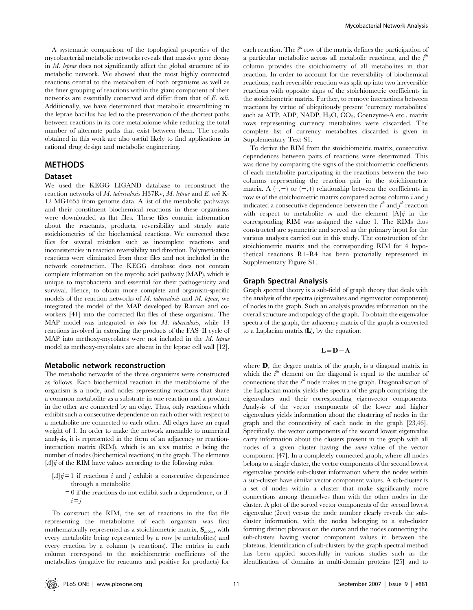A systematic comparison of the topological properties of the mycobacterial metabolic networks reveals that massive gene decay in M. leprae does not significantly affect the global structure of its metabolic network. We showed that the most highly connected reactions central to the metabolism of both organisms as well as the finer grouping of reactions within the giant component of their networks are essentially conserved and differ from that of E. coli. Additionally, we have determined that metabolic streamlining in the leprae bacillus has led to the preservation of the shortest paths between reactions in its core metabolome while reducing the total number of alternate paths that exist between them. The results obtained in this work are also useful likely to find applications in rational drug design and metabolic engineering.

## METHODS

## Dataset

We used the KEGG LIGAND database to reconstruct the reaction networks of M. tuberculosis H37Rv, M. leprae and E. coli K-12 MG1655 from genome data. A list of the metabolic pathways and their constituent biochemical reactions in these organisms were downloaded as flat files. These files contain information about the reactants, products, reversibility and steady state stoichiometries of the biochemical reactions. We corrected these files for several mistakes such as incomplete reactions and inconsistencies in reaction reversibility and direction. Polymerisation reactions were eliminated from these files and not included in the network construction. The KEGG database does not contain complete information on the mycolic acid pathway (MAP), which is unique to mycobacteria and essential for their pathogenicity and survival. Hence, to obtain more complete and organism-specific models of the reaction networks of  $M$ . tuberculosis and  $M$ . leprae, we integrated the model of the MAP developed by Raman and coworkers [41] into the corrected flat files of these organisms. The MAP model was integrated in toto for M. tuberculosis, while 13 reactions involved in extending the products of the FAS–II cycle of MAP into methoxy-mycolates were not included in the M. leprae model as methoxy-mycolates are absent in the leprae cell wall [12].

### Metabolic network reconstruction

The metabolic networks of the three organisms were constructed as follows. Each biochemical reaction in the metabolome of the organism is a node, and nodes representing reactions that share a common metabolite as a substrate in one reaction and a product in the other are connected by an edge. Thus, only reactions which exhibit such a consecutive dependence on each other with respect to a metabolite are connected to each other. All edges have an equal weight of 1. In order to make the network amenable to numerical analysis, it is represented in the form of an adjacency or reactioninteraction matrix (RIM), which is an  $n \times n$  matrix; n being the number of nodes (biochemical reactions) in the graph. The elements  $[A]\ddot{y}$  of the RIM have values according to the following rules:

- $[A]$  $ij=1$  if reactions i and j exhibit a consecutive dependence through a metabolite
	- $= 0$  if the reactions do not exhibit such a dependence, or if  $i = i$

To construct the RIM, the set of reactions in the flat file representing the metabolome of each organism was first mathematically represented as a stoichiometric matrix,  $\mathbf{S}_{m\times n}$ , with every metabolite being represented by a row (m metabolites) and every reaction by a column (n reactions). The entries in each column correspond to the stoichiometric coefficients of the metabolites (negative for reactants and positive for products) for

each reaction. The  $i^{th}$  row of the matrix defines the participation of a particular metabolite across all metabolic reactions, and the  $j^{\text{th}}$ column provides the stoichiometry of all metabolites in that reaction. In order to account for the reversibility of biochemical reactions, each reversible reaction was split up into two irreversible reactions with opposite signs of the stoichiometric coefficients in the stoichiometric matrix. Further, to remove interactions between reactions by virtue of ubiquitously present 'currency metabolites' such as ATP, ADP, NADP,  $H_2O$ ,  $CO_2$ , Coenzyme-A etc., matrix rows representing currency metabolites were discarded. The complete list of currency metabolites discarded is given in Supplementary Text S1.

To derive the RIM from the stoichiometric matrix, consecutive dependences between pairs of reactions were determined. This was done by comparing the signs of the stoichiometric coefficients of each metabolite participating in the reactions between the two columns representing the reaction pair in the stoichiometric matrix. A  $(+,-)$  or  $(-,+)$  relationship between the coefficients in row  $m$  of the stoichiometric matrix compared across column  $i$  and  $j$ indicated a consecutive dependence between the  $i^{th}$  and  $j^{th}$  reaction with respect to metabolite m and the element  $[A]\ddot{y}$  in the corresponding RIM was assigned the value 1. The RIMs thus constructed are symmetric and served as the primary input for the various analyses carried out in this study. The construction of the stoichiometric matrix and the corresponding RIM for 4 hypothetical reactions R1–R4 has been pictorially represented in Supplementary Figure S1.

## Graph Spectral Analysis

Graph spectral theory is a sub-field of graph theory that deals with the analysis of the spectra (eigenvalues and eigenvector components) of nodes in the graph. Such an analysis provides information on the overall structure and topology of the graph. To obtain the eigenvalue spectra of the graph, the adjacency matrix of the graph is converted to a Laplacian matrix  $(L)$ , by the equation:

## $L=D-A$

where **D**, the degree matrix of the graph, is a diagonal matrix in which the  $i^{\text{th}}$  element on the diagonal is equal to the number of connections that the  $i^{\text{th}}$  node makes in the graph. Diagonalisation of the Laplacian matrix yields the spectra of the graph comprising the eigenvalues and their corresponding eigenvector components. Analysis of the vector components of the lower and higher eigenvalues yields information about the clustering of nodes in the graph and the connectivity of each node in the graph [23,46]. Specifically, the vector components of the second lowest eigenvalue carry information about the clusters present in the graph with all nodes of a given cluster having the same value of the vector component [47]. In a completely connected graph, where all nodes belong to a single cluster, the vector components of the second lowest eigenvalue provide sub-cluster information where the nodes within a sub-cluster have similar vector component values. A sub-cluster is a set of nodes within a cluster that make significantly more connections among themselves than with the other nodes in the cluster. A plot of the sorted vector components of the second lowest eigenvalue (2evc) versus the node number clearly reveals the subcluster information, with the nodes belonging to a sub-cluster forming distinct plateaus on the curve and the nodes connecting the sub-clusters having vector component values in between the plateaus. Identification of sub-clusters by the graph spectral method has been applied successfully in various studies such as the identification of domains in multi-domain proteins [25] and to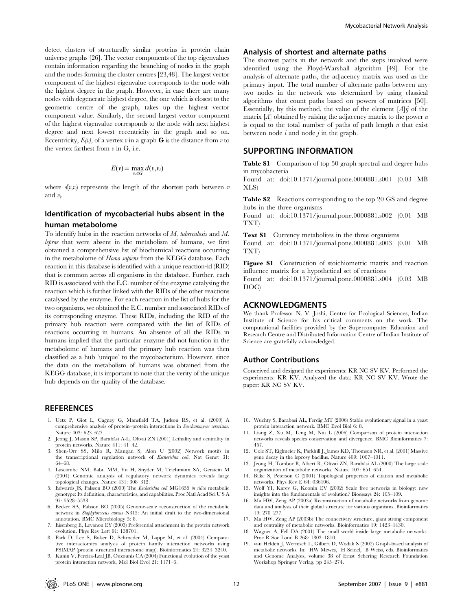detect clusters of structurally similar proteins in protein chain universe graphs [26]. The vector components of the top eigenvalues contain information regarding the branching of nodes in the graph and the nodes forming the cluster centres [23,48]. The largest vector component of the highest eigenvalue corresponds to the node with the highest degree in the graph. However, in case there are many nodes with degenerate highest degree, the one which is closest to the geometric centre of the graph, takes up the highest vector component value. Similarly, the second largest vector component of the highest eigenvalue corresponds to the node with next highest degree and next lowest eccentricity in the graph and so on. Eccentricity,  $E(v)$ , of a vertex v in a graph **G** is the distance from v to the vertex farthest from  $v$  in G, i.e.

$$
E(v) = \max_{v_i \in G} d(v, v_i)
$$

where  $d(v,v_i)$  represents the length of the shortest path between  $v$ and  $v_i$ .

## Identification of mycobacterial hubs absent in the human metabolome

To identify hubs in the reaction networks of M. tuberculosis and M. leprae that were absent in the metabolism of humans, we first obtained a comprehensive list of biochemical reactions occurring in the metabolome of Homo sapiens from the KEGG database. Each reaction in this database is identified with a unique reaction-id (RID) that is common across all organisms in the database. Further, each RID is associated with the E.C. number of the enzyme catalysing the reaction which is further linked with the RIDs of the other reactions catalysed by the enzyme. For each reaction in the list of hubs for the two organisms, we obtained the E.C. number and associated RIDs of its corresponding enzyme. These RIDs, including the RID of the primary hub reaction were compared with the list of RIDs of reactions occurring in humans. An absence of all the RIDs in humans implied that the particular enzyme did not function in the metabolome of humans and the primary hub reaction was then classified as a hub 'unique' to the mycobacterium. However, since the data on the metabolism of humans was obtained from the KEGG database, it is important to note that the verity of the unique hub depends on the quality of the database.

## **REFERENCES**

- 1. Uetz P, Giot L, Cagney G, Mansfield TA, Judson RS, et al. (2000) A comprehensive analysis of protein–protein interactions in Saccharomyces cerevisiae. Nature 403: 623–627.
- 2. Jeong J, Mason SP, Barabási A-L, Oltvai ZN (2001) Lethality and centrality in protein networks. Nature 411: 41–42.
- 3. Shen-Orr SS, Milo R, Mangan S, Alon U (2002) Network motifs in the transcriptional regulation network of Escherichia coli. Nat Genet 31: 64–68.
- 4. Luscombe NM, Babu MM, Yu H, Snyder M, Teichmann SA, Gerstein M (2004) Genomic analysis of regulatory network dynamics reveals large topological changes. Nature 431: 308–312.
- 5. Edwards JS, Palsson BO (2000) The Escherichia coli MG1655 in silico metabolic genotype: Its definition, characteristics, and capabilities. Proc Natl Acad Sci U S A 97: 5528–5533.
- 6. Becker SA, Palsson BO (2005) Genome-scale reconstruction of the metabolic network in Staphylococcus aureus N315: An initial draft to the two-dimensional annotation. BMC Microbiology 5: 8.
- 7. Eisenberg E, Levanon EY (2003) Preferential attachment in the protein network evolution. Phys Rev Lett 91: 138701.
- 8. Park D, Lee S, Bolser D, Schroeder M, Lappe M, et al. (2004) Compara-tive interactomics analysis of protein family interaction networks using PSIMAP (protein structural interactome map). Bioinformatics 21: 3234–3240.
- 9. Kunin V, Pereira-Leal JB, Ouzounis CA (2004) Functional evolution of the yeast protein interaction network. Mol Biol Evol 21: 1171–6.

#### Analysis of shortest and alternate paths

The shortest paths in the network and the steps involved were identified using the Floyd-Warshall algorithm [49]. For the analysis of alternate paths, the adjacency matrix was used as the primary input. The total number of alternate paths between any two nodes in the network was determined by using classical algorithms that count paths based on powers of matrices [50]. Essentially, by this method, the value of the element  $[A]\ddot{\eta}$  of the matrix  $[A]$  obtained by raising the adjacency matrix to the power n is equal to the total number of paths of path length  $n$  that exist between node  $i$  and node  $j$  in the graph.

## SUPPORTING INFORMATION

Table S1 Comparison of top 50 graph spectral and degree hubs in mycobacteria

Found at: doi:10.1371/journal.pone.0000881.s001 (0.03 MB XLS)

Table S2 Reactions corresponding to the top 20 GS and degree hubs in the three organisms

Found at: doi:10.1371/journal.pone.0000881.s002 (0.01 MB TXT)

Text S1 Currency metabolites in the three organisms

Found at: doi:10.1371/journal.pone.0000881.s003 (0.01 MB TXT)

Figure S1 Construction of stoichiometric matrix and reaction influence matrix for a hypothetical set of reactions

Found at: doi:10.1371/journal.pone.0000881.s004 (0.03 MB DOC)

## ACKNOWLEDGMENTS

We thank Professor N. V. Joshi, Centre for Ecological Sciences, Indian Institute of Science for his critical comments on the work. The computational facilities provided by the Supercomputer Education and Research Centre and Distributed Information Centre of Indian Institute of Science are gratefully acknowledged.

#### Author Contributions

Conceived and designed the experiments: KR NC SV KV. Performed the experiments: KR KV. Analyzed the data: KR NC SV KV. Wrote the paper: KR NC SV KV.

- 10. Wuchty S, Barabasi AL, Ferdig MT (2006) Stable evolutionary signal in a yeast protein interaction network. BMC Evol Biol 6: 8.
- 11. Liang Z, Xu M, Teng M, Niu L (2006) Comparison of protein interaction networks reveals species conservation and divergence. BMC Bioinformatics 7: 457.
- 12. Cole ST, Eiglmeier K, Parkhill J, James KD, Thomson NR, et al. (2001) Massive gene decay in the leprosy bacillus. Nature 409: 1007–1011.
- 13. Jeong H, Tombor B, Albert R, Oltvai ZN, Barabási AL (2000) The large scale organization of metabolic networks. Nature 407: 651–654.
- 14. Bilke S, Peterson C (2001) Topological properties of citation and metabolic networks. Phys Rev E 64: 036106.
- 15. Wolf YI, Karev G, Koonin EV (2002) Scale free networks in biology: new insights into the fundamentals of evolution? Bioessays 24: 105–109.
- 16. Ma HW, Zeng AP (2003a) Reconstruction of metabolic networks from genome data and analysis of their global structure for various organisms. Bioinformatics 19: 270–277.
- 17. Ma HW, Zeng AP (2003b) The connectivity structure, giant strong component and centrality of metabolic networks. Bioinformatics 19: 1423–1430.
- 18. Wagner A, Fell DA (2001) The small world inside large metabolic networks. Proc R Soc Lond B 268: 1803–1810.
- 19. van Helden J, Wernisch L, Gilbert D, Wodak S (2002) Graph-based analysis of metabolic networks. In: HW Mewes, H Seidel, B Weiss, eds. Bioinformatics and Genome Analysis, volume 38 of Ernst Schering Research Foundation Workshop Springer Verlag. pp 245–274.